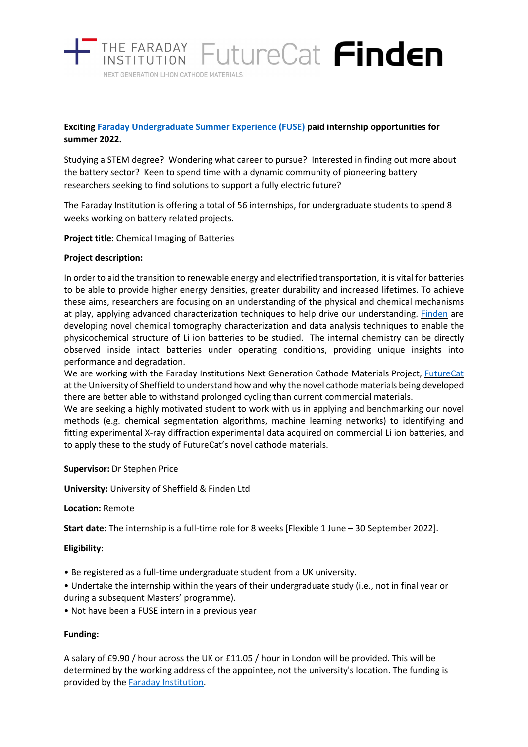

# **Exciting [Faraday Undergraduate Summer Experience \(FUSE\)](https://www.faraday.ac.uk/fuse-2022/) paid internship opportunities for summer 2022.**

Studying a STEM degree? Wondering what career to pursue? Interested in finding out more about the battery sector? Keen to spend time with a dynamic community of pioneering battery researchers seeking to find solutions to support a fully electric future?

The Faraday Institution is offering a total of 56 internships, for undergraduate students to spend 8 weeks working on battery related projects.

**Project title:** Chemical Imaging of Batteries

### **Project description:**

In order to aid the transition to renewable energy and electrified transportation, it is vital for batteries to be able to provide higher energy densities, greater durability and increased lifetimes. To achieve these aims, researchers are focusing on an understanding of the physical and chemical mechanisms at play, applying advanced characterization techniques to help drive our understanding. **Finden** are developing novel chemical tomography characterization and data analysis techniques to enable the physicochemical structure of Li ion batteries to be studied. The internal chemistry can be directly observed inside intact batteries under operating conditions, providing unique insights into performance and degradation.

We are working with the Faraday Institutions Next Generation Cathode Materials Project, [FutureCat](https://futurecat.ac.uk/) at the University of Sheffield to understand how and why the novel cathode materials being developed there are better able to withstand prolonged cycling than current commercial materials.

We are seeking a highly motivated student to work with us in applying and benchmarking our novel methods (e.g. chemical segmentation algorithms, machine learning networks) to identifying and fitting experimental X-ray diffraction experimental data acquired on commercial Li ion batteries, and to apply these to the study of FutureCat's novel cathode materials.

#### **Supervisor:** Dr Stephen Price

**University:** University of Sheffield & Finden Ltd

### **Location:** Remote

**Start date:** The internship is a full-time role for 8 weeks [Flexible 1 June – 30 September 2022].

### **Eligibility:**

- Be registered as a full-time undergraduate student from a UK university.
- Undertake the internship within the years of their undergraduate study (i.e., not in final year or during a subsequent Masters' programme).
- Not have been a FUSE intern in a previous year

### **Funding:**

A salary of £9.90 / hour across the UK or £11.05 / hour in London will be provided. This will be determined by the working address of the appointee, not the university's location. The funding is provided by the [Faraday Institution.](https://www.faraday.ac.uk/)